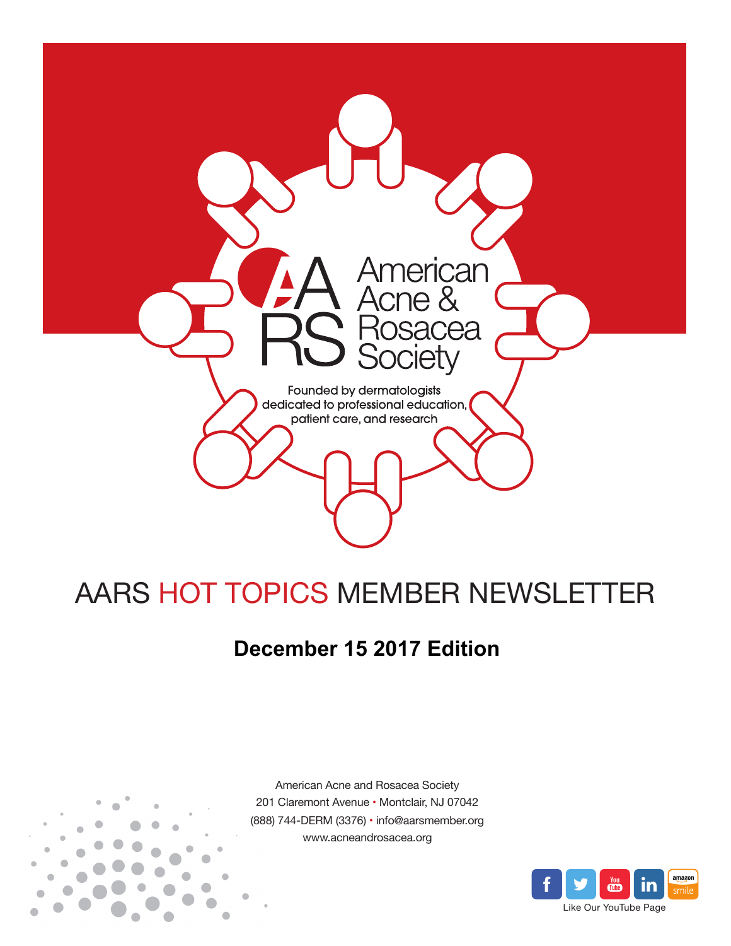

# AARS HOT TOPICS MEMBER NEWSLETTER

## **December 15 2017 Edition**



American Acne and Rosacea Society 201 Claremont Avenue • Montclair, NJ 07042 (888) 744-DERM (3376) • info@aarsmember.org www.acneandrosacea.org

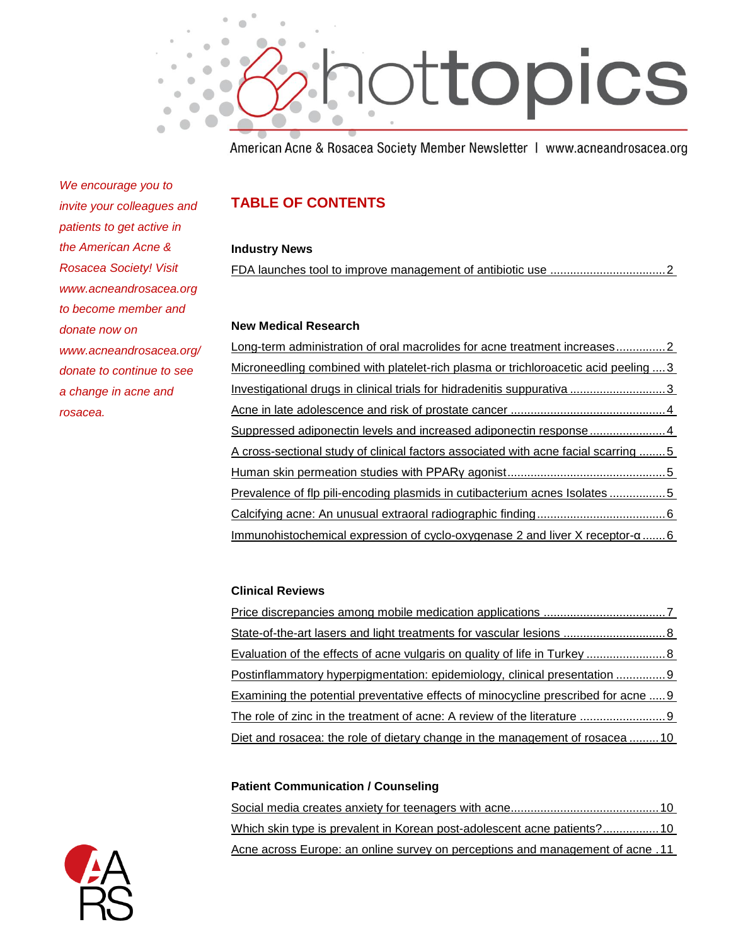

American Acne & Rosacea Society Member Newsletter | www.acneandrosacea.org

*We encourage you to invite your colleagues and patients to get active in the American Acne & Rosacea Society! Visit www.acneandrosacea.org to become member and donate now on www.acneandrosacea.org/ donate to continue to see a change in acne and rosacea.*

### **TABLE OF CONTENTS**

#### **Industry News**

[FDA launches tool to improve management of antibiotic use](#page-2-0) ...................................2

#### **New Medical Research**

| Long-term administration of oral macrolides for acne treatment increases2           |  |
|-------------------------------------------------------------------------------------|--|
| Microneedling combined with platelet-rich plasma or trichloroacetic acid peeling  3 |  |
| Investigational drugs in clinical trials for hidradenitis suppurativa 3             |  |
|                                                                                     |  |
| Suppressed adiponectin levels and increased adiponectin response4                   |  |
| A cross-sectional study of clinical factors associated with acne facial scarring 5  |  |
|                                                                                     |  |
| Prevalence of flp pili-encoding plasmids in cutibacterium acnes Isolates 5          |  |
|                                                                                     |  |
| Immunohistochemical expression of cyclo-oxygenase 2 and liver X receptor-a6         |  |

#### **Clinical Reviews**

[Price discrepancies among mobile medication applications](#page-7-0) .....................................7 [State-of-the-art lasers and light treatments for vascular lesions](#page-8-0) ...............................8 [Evaluation of the effects of acne vulgaris on quality of life in Turkey](#page-8-1) ........................8 [Postinflammatory hyperpigmentation: epidemiology, clinical presentation](#page-9-0) ...............9 [Examining the potential preventative effects of minocycline prescribed for acne](#page-9-1) .....9 [The role of zinc in the treatment of acne: A review of the literature](#page-9-2) ..........................9 [Diet and rosacea: the role of dietary change in the management of rosacea](#page-10-0) ......... 10

#### **Patient Communication / Counseling**

Social media [creates anxiety for teenagers with acne.............................................10](#page-10-1) [Which skin type is prevalent in Korean post-adolescent acne patients?.................10](#page-10-2) [Acne across Europe: an online survey on perceptions and management of acne](#page-11-0) .11

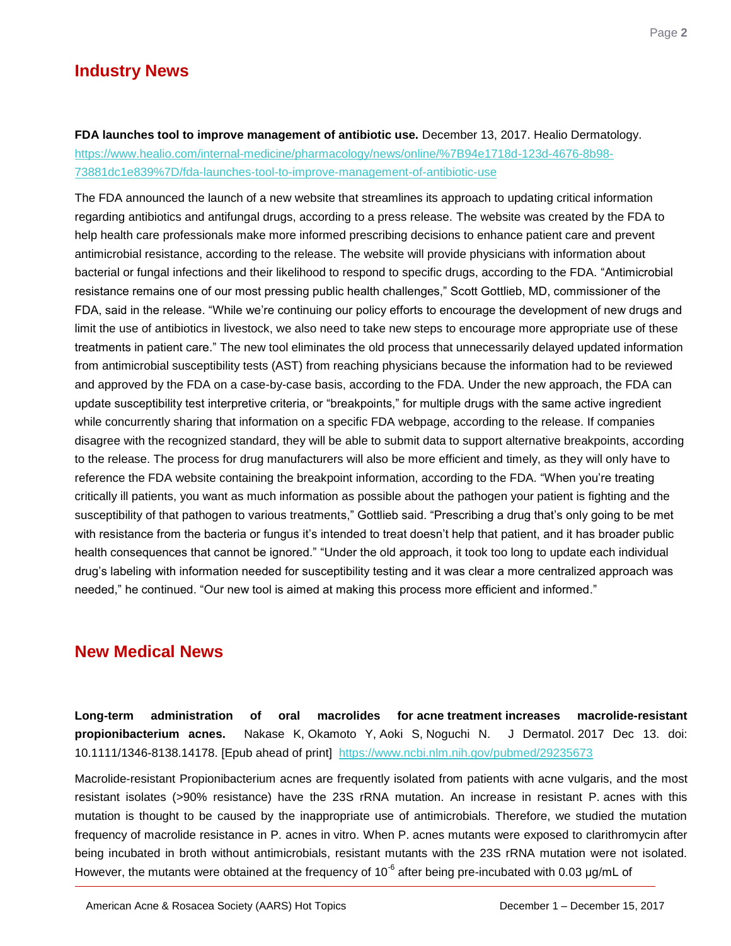## **Industry News**

<span id="page-2-0"></span>**FDA launches tool to improve management of antibiotic use.** December 13, 2017. Healio Dermatology. [https://www.healio.com/internal-medicine/pharmacology/news/online/%7B94e1718d-123d-4676-8b98-](https://www.healio.com/internal-medicine/pharmacology/news/online/%7B94e1718d-123d-4676-8b98-73881dc1e839%7D/fda-launches-tool-to-improve-management-of-antibiotic-use) [73881dc1e839%7D/fda-launches-tool-to-improve-management-of-antibiotic-use](https://www.healio.com/internal-medicine/pharmacology/news/online/%7B94e1718d-123d-4676-8b98-73881dc1e839%7D/fda-launches-tool-to-improve-management-of-antibiotic-use)

The FDA announced the launch of a new website that streamlines its approach to updating critical information regarding antibiotics and antifungal drugs, according to a press release. The website was created by the FDA to help health care professionals make more informed prescribing decisions to enhance patient care and prevent antimicrobial resistance, according to the release. The website will provide physicians with information about bacterial or fungal infections and their likelihood to respond to specific drugs, according to the FDA. "Antimicrobial resistance remains one of our most pressing public health challenges," Scott Gottlieb, MD, commissioner of the FDA, said in the release. "While we're continuing our policy efforts to encourage the development of new drugs and limit the use of antibiotics in livestock, we also need to take new steps to encourage more appropriate use of these treatments in patient care." The new tool eliminates the old process that unnecessarily delayed updated information from antimicrobial susceptibility tests (AST) from reaching physicians because the information had to be reviewed and approved by the FDA on a case-by-case basis, according to the FDA. Under the new approach, the FDA can update susceptibility test interpretive criteria, or "breakpoints," for multiple drugs with the same active ingredient while concurrently sharing that information on a specific FDA webpage, according to the release. If companies disagree with the recognized standard, they will be able to submit data to support alternative breakpoints, according to the release. The process for drug manufacturers will also be more efficient and timely, as they will only have to reference the FDA website containing the breakpoint information, according to the FDA. "When you're treating critically ill patients, you want as much information as possible about the pathogen your patient is fighting and the susceptibility of that pathogen to various treatments," Gottlieb said. "Prescribing a drug that's only going to be met with resistance from the bacteria or fungus it's intended to treat doesn't help that patient, and it has broader public health consequences that cannot be ignored." "Under the old approach, it took too long to update each individual drug's labeling with information needed for susceptibility testing and it was clear a more centralized approach was needed," he continued. "Our new tool is aimed at making this process more efficient and informed."

## **New Medical News**

<span id="page-2-1"></span>**Long-term administration of oral macrolides for acne treatment increases macrolide-resistant propionibacterium acnes.** Nakase K, Okamoto Y, Aoki S, Noguchi N. J Dermatol. 2017 Dec 13. doi: 10.1111/1346-8138.14178. [Epub ahead of print] <https://www.ncbi.nlm.nih.gov/pubmed/29235673>

Macrolide-resistant Propionibacterium acnes are frequently isolated from patients with acne vulgaris, and the most resistant isolates (>90% resistance) have the 23S rRNA mutation. An increase in resistant P. acnes with this mutation is thought to be caused by the inappropriate use of antimicrobials. Therefore, we studied the mutation frequency of macrolide resistance in P. acnes in vitro. When P. acnes mutants were exposed to clarithromycin after being incubated in broth without antimicrobials, resistant mutants with the 23S rRNA mutation were not isolated. However, the mutants were obtained at the frequency of 10<sup>-6</sup> after being pre-incubated with 0.03 µg/mL of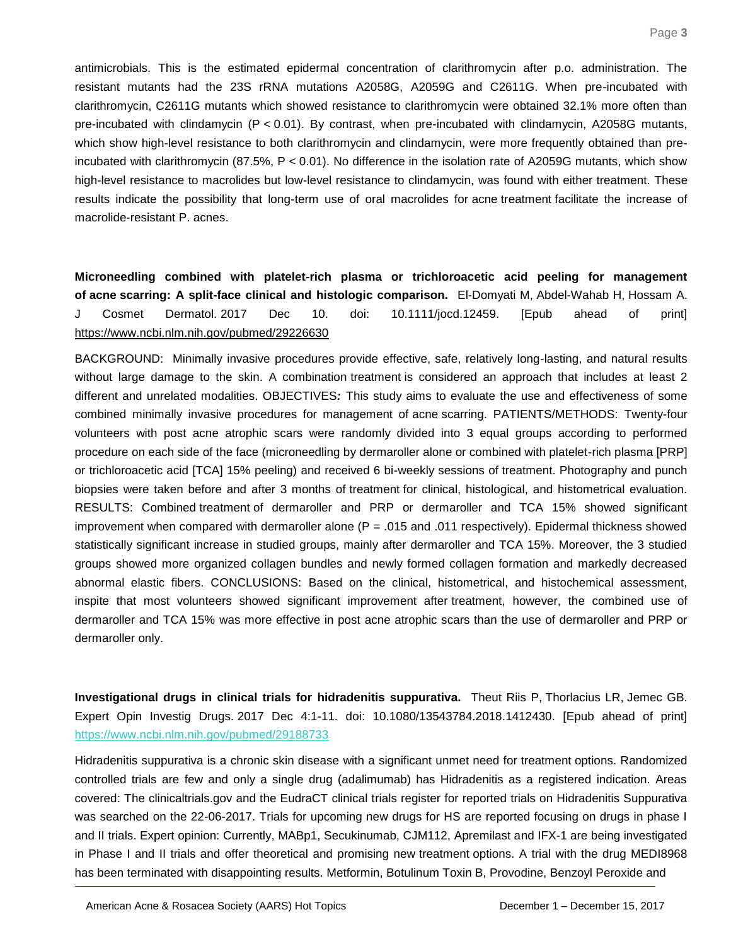antimicrobials. This is the estimated epidermal concentration of clarithromycin after p.o. administration. The resistant mutants had the 23S rRNA mutations A2058G, A2059G and C2611G. When pre-incubated with clarithromycin, C2611G mutants which showed resistance to clarithromycin were obtained 32.1% more often than pre-incubated with clindamycin (P < 0.01). By contrast, when pre-incubated with clindamycin, A2058G mutants, which show high-level resistance to both clarithromycin and clindamycin, were more frequently obtained than preincubated with clarithromycin (87.5%, P < 0.01). No difference in the isolation rate of A2059G mutants, which show high-level resistance to macrolides but low-level resistance to clindamycin, was found with either treatment. These results indicate the possibility that long-term use of oral macrolides for acne treatment facilitate the increase of macrolide-resistant P. acnes.

<span id="page-3-0"></span>**Microneedling combined with platelet-rich plasma or trichloroacetic acid peeling for management of acne scarring: A split-face clinical and histologic comparison.** El-Domyati M, Abdel-Wahab H, Hossam A. J Cosmet Dermatol. 2017 Dec 10. doi: 10.1111/jocd.12459. [Epub ahead of print] <https://www.ncbi.nlm.nih.gov/pubmed/29226630>

BACKGROUND: Minimally invasive procedures provide effective, safe, relatively long-lasting, and natural results without large damage to the skin. A combination treatment is considered an approach that includes at least 2 different and unrelated modalities. OBJECTIVES*:* This study aims to evaluate the use and effectiveness of some combined minimally invasive procedures for management of acne scarring. PATIENTS/METHODS: Twenty-four volunteers with post acne atrophic scars were randomly divided into 3 equal groups according to performed procedure on each side of the face (microneedling by dermaroller alone or combined with platelet-rich plasma [PRP] or trichloroacetic acid [TCA] 15% peeling) and received 6 bi-weekly sessions of treatment. Photography and punch biopsies were taken before and after 3 months of treatment for clinical, histological, and histometrical evaluation. RESULTS: Combined treatment of dermaroller and PRP or dermaroller and TCA 15% showed significant improvement when compared with dermaroller alone ( $P = .015$  and .011 respectively). Epidermal thickness showed statistically significant increase in studied groups, mainly after dermaroller and TCA 15%. Moreover, the 3 studied groups showed more organized collagen bundles and newly formed collagen formation and markedly decreased abnormal elastic fibers. CONCLUSIONS: Based on the clinical, histometrical, and histochemical assessment, inspite that most volunteers showed significant improvement after treatment, however, the combined use of dermaroller and TCA 15% was more effective in post acne atrophic scars than the use of dermaroller and PRP or dermaroller only.

<span id="page-3-1"></span>**Investigational drugs in clinical trials for hidradenitis suppurativa.** Theut Riis P, Thorlacius LR, Jemec GB. Expert Opin Investig Drugs. 2017 Dec 4:1-11. doi: 10.1080/13543784.2018.1412430. [Epub ahead of print] <https://www.ncbi.nlm.nih.gov/pubmed/29188733>

Hidradenitis suppurativa is a chronic skin disease with a significant unmet need for treatment options. Randomized controlled trials are few and only a single drug (adalimumab) has Hidradenitis as a registered indication. Areas covered: The clinicaltrials.gov and the EudraCT clinical trials register for reported trials on Hidradenitis Suppurativa was searched on the 22-06-2017. Trials for upcoming new drugs for HS are reported focusing on drugs in phase I and II trials. Expert opinion: Currently, MABp1, Secukinumab, CJM112, Apremilast and IFX-1 are being investigated in Phase I and II trials and offer theoretical and promising new treatment options. A trial with the drug MEDI8968 has been terminated with disappointing results. Metformin, Botulinum Toxin B, Provodine, Benzoyl Peroxide and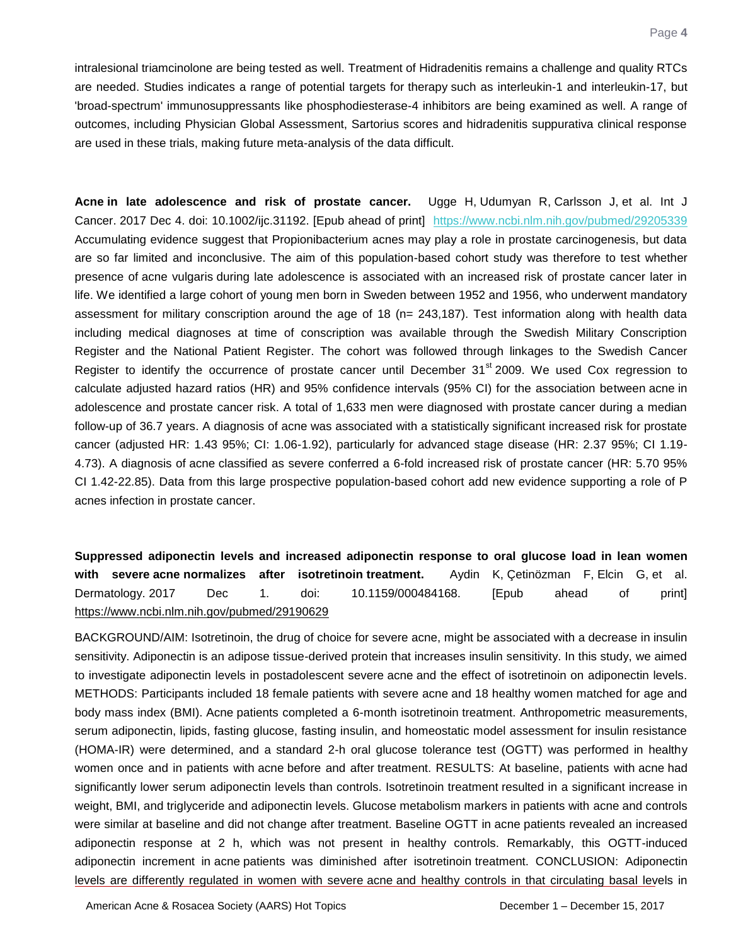intralesional triamcinolone are being tested as well. Treatment of Hidradenitis remains a challenge and quality RTCs are needed. Studies indicates a range of potential targets for therapy such as interleukin-1 and interleukin-17, but 'broad-spectrum' immunosuppressants like phosphodiesterase-4 inhibitors are being examined as well. A range of outcomes, including Physician Global Assessment, Sartorius scores and hidradenitis suppurativa clinical response are used in these trials, making future meta-analysis of the data difficult.

<span id="page-4-0"></span>**Acne in late adolescence and risk of prostate cancer.** Ugge H, Udumyan R, Carlsson J, et al. Int J Cancer. 2017 Dec 4. doi: 10.1002/ijc.31192. [Epub ahead of print] <https://www.ncbi.nlm.nih.gov/pubmed/29205339> Accumulating evidence suggest that Propionibacterium acnes may play a role in prostate carcinogenesis, but data are so far limited and inconclusive. The aim of this population-based cohort study was therefore to test whether presence of acne vulgaris during late adolescence is associated with an increased risk of prostate cancer later in life. We identified a large cohort of young men born in Sweden between 1952 and 1956, who underwent mandatory assessment for military conscription around the age of 18 (n= 243,187). Test information along with health data including medical diagnoses at time of conscription was available through the Swedish Military Conscription Register and the National Patient Register. The cohort was followed through linkages to the Swedish Cancer Register to identify the occurrence of prostate cancer until December  $31<sup>st</sup> 2009$ . We used Cox regression to calculate adjusted hazard ratios (HR) and 95% confidence intervals (95% CI) for the association between acne in adolescence and prostate cancer risk. A total of 1,633 men were diagnosed with prostate cancer during a median follow-up of 36.7 years. A diagnosis of acne was associated with a statistically significant increased risk for prostate cancer (adjusted HR: 1.43 95%; CI: 1.06-1.92), particularly for advanced stage disease (HR: 2.37 95%; CI 1.19- 4.73). A diagnosis of acne classified as severe conferred a 6-fold increased risk of prostate cancer (HR: 5.70 95% CI 1.42-22.85). Data from this large prospective population-based cohort add new evidence supporting a role of P acnes infection in prostate cancer.

<span id="page-4-1"></span>**Suppressed adiponectin levels and increased adiponectin response to oral glucose load in lean women with severe acne normalizes after isotretinoin treatment.** Aydin K, Çetinözman F, Elcin G, et al. Dermatology. 2017 Dec 1. doi: 10.1159/000484168. [Epub ahead of print] <https://www.ncbi.nlm.nih.gov/pubmed/29190629>

BACKGROUND/AIM: Isotretinoin, the drug of choice for severe acne, might be associated with a decrease in insulin sensitivity. Adiponectin is an adipose tissue-derived protein that increases insulin sensitivity. In this study, we aimed to investigate adiponectin levels in postadolescent severe acne and the effect of isotretinoin on adiponectin levels. METHODS: Participants included 18 female patients with severe acne and 18 healthy women matched for age and body mass index (BMI). Acne patients completed a 6-month isotretinoin treatment. Anthropometric measurements, serum adiponectin, lipids, fasting glucose, fasting insulin, and homeostatic model assessment for insulin resistance (HOMA-IR) were determined, and a standard 2-h oral glucose tolerance test (OGTT) was performed in healthy women once and in patients with acne before and after treatment. RESULTS: At baseline, patients with acne had significantly lower serum adiponectin levels than controls. Isotretinoin treatment resulted in a significant increase in weight, BMI, and triglyceride and adiponectin levels. Glucose metabolism markers in patients with acne and controls were similar at baseline and did not change after treatment. Baseline OGTT in acne patients revealed an increased adiponectin response at 2 h, which was not present in healthy controls. Remarkably, this OGTT-induced adiponectin increment in acne patients was diminished after isotretinoin treatment. CONCLUSION: Adiponectin levels are differently regulated in women with severe acne and healthy controls in that circulating basal levels in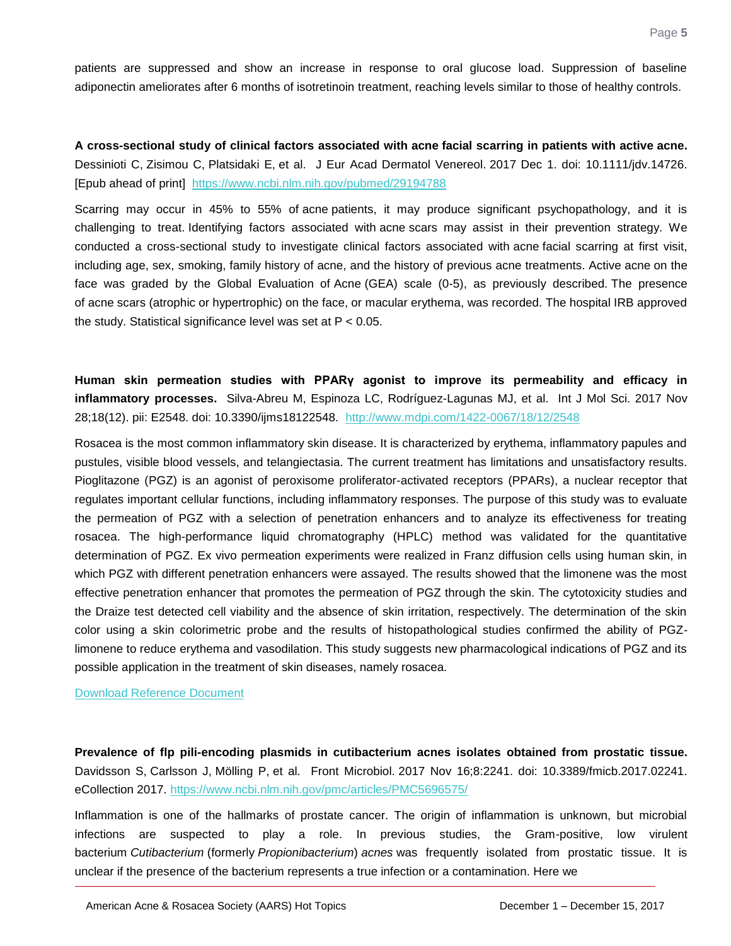patients are suppressed and show an increase in response to oral glucose load. Suppression of baseline adiponectin ameliorates after 6 months of isotretinoin treatment, reaching levels similar to those of healthy controls.

<span id="page-5-0"></span>**A cross-sectional study of clinical factors associated with acne facial scarring in patients with active acne.**  Dessinioti C, Zisimou C, Platsidaki E, et al. J Eur Acad Dermatol Venereol. 2017 Dec 1. doi: 10.1111/jdv.14726. [Epub ahead of print] <https://www.ncbi.nlm.nih.gov/pubmed/29194788>

Scarring may occur in 45% to 55% of acne patients, it may produce significant psychopathology, and it is challenging to treat. Identifying factors associated with acne scars may assist in their prevention strategy. We conducted a cross-sectional study to investigate clinical factors associated with acne facial scarring at first visit, including age, sex, smoking, family history of acne, and the history of previous acne treatments. Active acne on the face was graded by the Global Evaluation of Acne (GEA) scale (0-5), as previously described. The presence of acne scars (atrophic or hypertrophic) on the face, or macular erythema, was recorded. The hospital IRB approved the study. Statistical significance level was set at P < 0.05.

<span id="page-5-1"></span>**Human skin permeation studies with PPARγ agonist to improve its permeability and efficacy in inflammatory processes.** Silva-Abreu M, Espinoza LC, Rodríguez-Lagunas MJ, et al. Int J Mol Sci. 2017 Nov 28;18(12). pii: E2548. doi: 10.3390/ijms18122548. http://www.mdpi.com/1422-0067/18/12/2548

Rosacea is the most common inflammatory skin disease. It is characterized by erythema, inflammatory papules and pustules, visible blood vessels, and telangiectasia. The current treatment has limitations and unsatisfactory results. Pioglitazone (PGZ) is an agonist of peroxisome proliferator-activated receptors (PPARs), a nuclear receptor that regulates important cellular functions, including inflammatory responses. The purpose of this study was to evaluate the permeation of PGZ with a selection of penetration enhancers and to analyze its effectiveness for treating rosacea. The high-performance liquid chromatography (HPLC) method was validated for the quantitative determination of PGZ. Ex vivo permeation experiments were realized in Franz diffusion cells using human skin, in which PGZ with different penetration enhancers were assayed. The results showed that the limonene was the most effective penetration enhancer that promotes the permeation of PGZ through the skin. The cytotoxicity studies and the Draize test detected cell viability and the absence of skin irritation, respectively. The determination of the skin color using a skin colorimetric probe and the results of histopathological studies confirmed the ability of PGZlimonene to reduce erythema and vasodilation. This study suggests new pharmacological indications of PGZ and its possible application in the treatment of skin diseases, namely rosacea.

[Download Reference Document](http://files.constantcontact.com/c2fa20d1101/3521b0ea-861a-4e2f-9291-c66331e005da.pdf?ver=1513355004000)

<span id="page-5-2"></span>**Prevalence of flp pili-encoding plasmids in cutibacterium acnes isolates obtained from prostatic tissue.** Davidsson S, Carlsson J, Mölling P, et al. Front Microbiol. 2017 Nov 16;8:2241. doi: 10.3389/fmicb.2017.02241. eCollection 2017. <https://www.ncbi.nlm.nih.gov/pmc/articles/PMC5696575/>

Inflammation is one of the hallmarks of prostate cancer. The origin of inflammation is unknown, but microbial infections are suspected to play a role. In previous studies, the Gram-positive, low virulent bacterium *Cutibacterium* (formerly *Propionibacterium*) *acnes* was frequently isolated from prostatic tissue. It is unclear if the presence of the bacterium represents a true infection or a contamination. Here we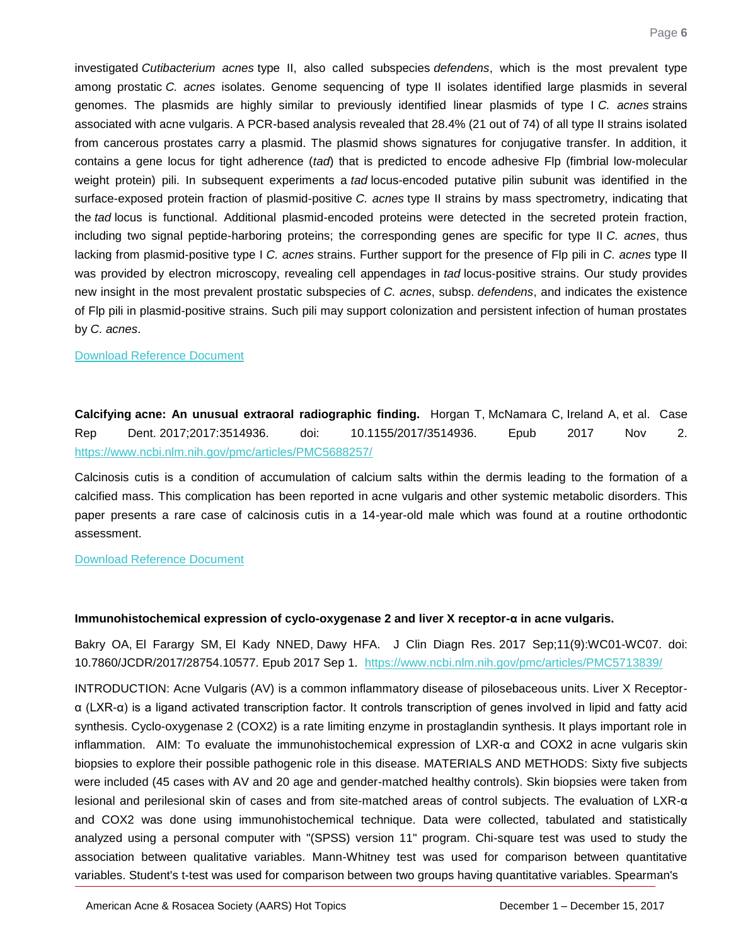investigated *Cutibacterium acnes* type II, also called subspecies *defendens*, which is the most prevalent type among prostatic *C. acnes* isolates. Genome sequencing of type II isolates identified large plasmids in several genomes. The plasmids are highly similar to previously identified linear plasmids of type I *C. acnes* strains associated with acne vulgaris. A PCR-based analysis revealed that 28.4% (21 out of 74) of all type II strains isolated from cancerous prostates carry a plasmid. The plasmid shows signatures for conjugative transfer. In addition, it contains a gene locus for tight adherence (*tad*) that is predicted to encode adhesive Flp (fimbrial low-molecular weight protein) pili. In subsequent experiments a *tad* locus-encoded putative pilin subunit was identified in the surface-exposed protein fraction of plasmid-positive *C. acnes* type II strains by mass spectrometry, indicating that the *tad* locus is functional. Additional plasmid-encoded proteins were detected in the secreted protein fraction, including two signal peptide-harboring proteins; the corresponding genes are specific for type II *C. acnes*, thus lacking from plasmid-positive type I *C. acnes* strains. Further support for the presence of Flp pili in *C. acnes* type II was provided by electron microscopy, revealing cell appendages in *tad* locus-positive strains. Our study provides new insight in the most prevalent prostatic subspecies of *C. acnes*, subsp. *defendens*, and indicates the existence of Flp pili in plasmid-positive strains. Such pili may support colonization and persistent infection of human prostates by *C. acnes*.

#### [Download Reference Document](http://files.constantcontact.com/c2fa20d1101/d7ac9c88-6757-42ae-bb28-e903040e542c.pdf?ver=1513355004000)

<span id="page-6-0"></span>**Calcifying acne: An unusual extraoral radiographic finding.** Horgan T, McNamara C, Ireland A, et al. Case Rep Dent. 2017;2017:3514936. doi: 10.1155/2017/3514936. Epub 2017 Nov 2. <https://www.ncbi.nlm.nih.gov/pmc/articles/PMC5688257/>

Calcinosis cutis is a condition of accumulation of calcium salts within the dermis leading to the formation of a calcified mass. This complication has been reported in acne vulgaris and other systemic metabolic disorders. This paper presents a rare case of calcinosis cutis in a 14-year-old male which was found at a routine orthodontic assessment.

[Download Reference Document](http://files.constantcontact.com/c2fa20d1101/045b4687-fe37-45c2-a617-fde65cb6e5f5.pdf?ver=1513355004000)

#### <span id="page-6-1"></span>**Immunohistochemical expression of cyclo-oxygenase 2 and liver X receptor-α in acne vulgaris.**

Bakry OA, El Farargy SM, El Kady NNED, Dawy HFA. J Clin Diagn Res. 2017 Sep;11(9):WC01-WC07. doi: 10.7860/JCDR/2017/28754.10577. Epub 2017 Sep 1. <https://www.ncbi.nlm.nih.gov/pmc/articles/PMC5713839/>

INTRODUCTION: Acne Vulgaris (AV) is a common inflammatory disease of pilosebaceous units. Liver X Receptorα (LXR-α) is a ligand activated transcription factor. It controls transcription of genes involved in lipid and fatty acid synthesis. Cyclo-oxygenase 2 (COX2) is a rate limiting enzyme in prostaglandin synthesis. It plays important role in inflammation. AIM: To evaluate the immunohistochemical expression of LXR-α and COX2 in acne vulgaris skin biopsies to explore their possible pathogenic role in this disease. MATERIALS AND METHODS: Sixty five subjects were included (45 cases with AV and 20 age and gender-matched healthy controls). Skin biopsies were taken from lesional and perilesional skin of cases and from site-matched areas of control subjects. The evaluation of LXR-α and COX2 was done using immunohistochemical technique. Data were collected, tabulated and statistically analyzed using a personal computer with "(SPSS) version 11" program. Chi-square test was used to study the association between qualitative variables. Mann-Whitney test was used for comparison between quantitative variables. Student's t-test was used for comparison between two groups having quantitative variables. Spearman's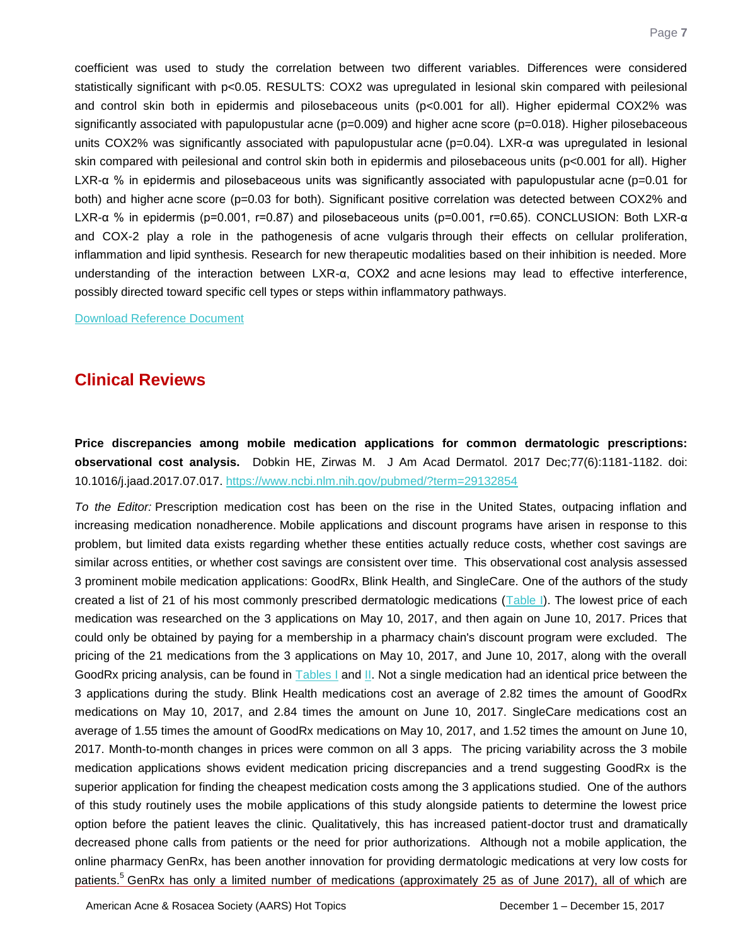coefficient was used to study the correlation between two different variables. Differences were considered statistically significant with p<0.05. RESULTS: COX2 was upregulated in lesional skin compared with peilesional and control skin both in epidermis and pilosebaceous units (p<0.001 for all). Higher epidermal COX2% was significantly associated with papulopustular acne ( $p=0.009$ ) and higher acne score ( $p=0.018$ ). Higher pilosebaceous units COX2% was significantly associated with papulopustular acne (p=0.04). LXR-α was upregulated in lesional skin compared with peilesional and control skin both in epidermis and pilosebaceous units (p<0.001 for all). Higher LXR-α % in epidermis and pilosebaceous units was significantly associated with papulopustular acne (p=0.01 for both) and higher acne score (p=0.03 for both). Significant positive correlation was detected between COX2% and LXR-α % in epidermis (p=0.001, r=0.87) and pilosebaceous units (p=0.001, r=0.65). CONCLUSION: Both LXR-α and COX-2 play a role in the pathogenesis of acne vulgaris through their effects on cellular proliferation, inflammation and lipid synthesis. Research for new therapeutic modalities based on their inhibition is needed. More understanding of the interaction between LXR-α, COX2 and acne lesions may lead to effective interference, possibly directed toward specific cell types or steps within inflammatory pathways.

[Download Reference Document](http://files.constantcontact.com/c2fa20d1101/d8072f3e-a9d8-40e0-b836-ec91f173067b.pdf?ver=1513355004000)

## **Clinical Reviews**

<span id="page-7-0"></span>**Price discrepancies among mobile medication applications for common dermatologic prescriptions: observational cost analysis.** Dobkin HE, Zirwas M. J Am Acad Dermatol. 2017 Dec;77(6):1181-1182. doi: 10.1016/j.jaad.2017.07.017. <https://www.ncbi.nlm.nih.gov/pubmed/?term=29132854>

*To the Editor:* Prescription medication cost has been on the rise in the United States, outpacing inflation and increasing medication nonadherence. Mobile applications and discount programs have arisen in response to this problem, but limited data exists regarding whether these entities actually reduce costs, whether cost savings are similar across entities, or whether cost savings are consistent over time. This observational cost analysis assessed 3 prominent mobile medication applications: GoodRx, Blink Health, and SingleCare. One of the authors of the study created a list of 21 of his most commonly prescribed dermatologic medications [\(Table I\)](http://www.jaad.org/article/S0190-9622(17)32146-1/fulltext#tbl1). The lowest price of each medication was researched on the 3 applications on May 10, 2017, and then again on June 10, 2017. Prices that could only be obtained by paying for a membership in a pharmacy chain's discount program were excluded. The pricing of the 21 medications from the 3 applications on May 10, 2017, and June 10, 2017, along with the overall GoodRx pricing analysis, can be found in [Tables I](http://www.jaad.org/article/S0190-9622(17)32146-1/fulltext#tbl1) and [II.](http://www.jaad.org/article/S0190-9622(17)32146-1/fulltext#tbl2) Not a single medication had an identical price between the 3 applications during the study. Blink Health medications cost an average of 2.82 times the amount of GoodRx medications on May 10, 2017, and 2.84 times the amount on June 10, 2017. SingleCare medications cost an average of 1.55 times the amount of GoodRx medications on May 10, 2017, and 1.52 times the amount on June 10, 2017. Month-to-month changes in prices were common on all 3 apps. The pricing variability across the 3 mobile medication applications shows evident medication pricing discrepancies and a trend suggesting GoodRx is the superior application for finding the cheapest medication costs among the 3 applications studied. One of the authors of this study routinely uses the mobile applications of this study alongside patients to determine the lowest price option before the patient leaves the clinic. Qualitatively, this has increased patient-doctor trust and dramatically decreased phone calls from patients or the need for prior authorizations. Although not a mobile application, the online pharmacy GenRx, has been another innovation for providing dermatologic medications at very low costs for patients.<sup>5</sup> GenRx has only a limited number of medications (approximately 25 as of June 2017), all of which are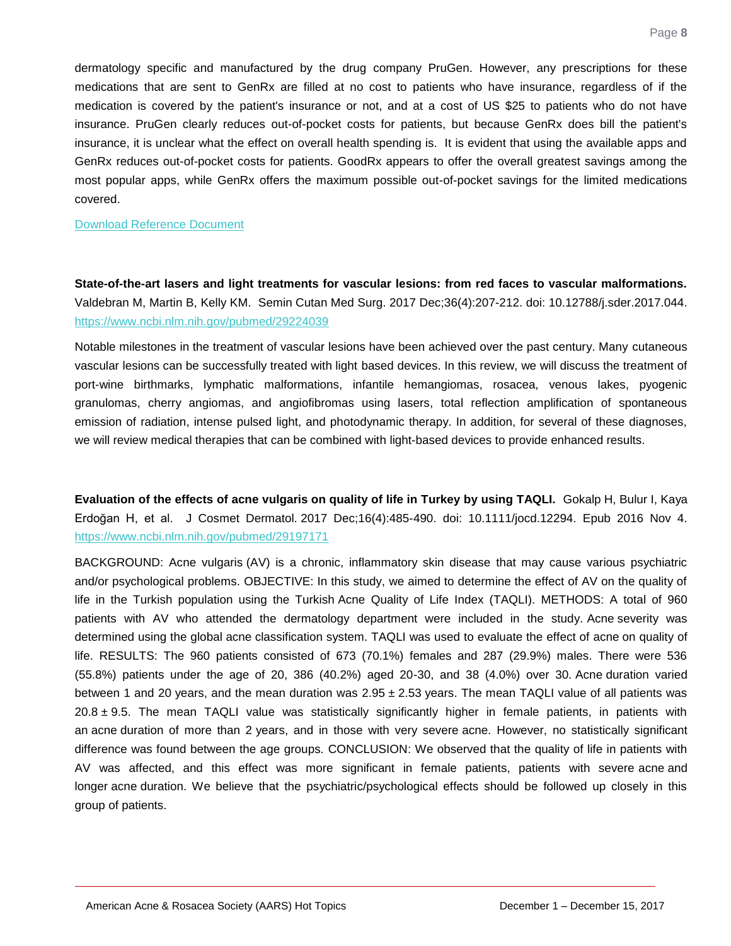dermatology specific and manufactured by the drug company PruGen. However, any prescriptions for these medications that are sent to GenRx are filled at no cost to patients who have insurance, regardless of if the medication is covered by the patient's insurance or not, and at a cost of US \$25 to patients who do not have insurance. PruGen clearly reduces out-of-pocket costs for patients, but because GenRx does bill the patient's insurance, it is unclear what the effect on overall health spending is. It is evident that using the available apps and GenRx reduces out-of-pocket costs for patients. GoodRx appears to offer the overall greatest savings among the most popular apps, while GenRx offers the maximum possible out-of-pocket savings for the limited medications covered.

#### [Download Reference Document](http://files.constantcontact.com/c2fa20d1101/a7196885-df5f-4e72-af6d-1be1f89c1277.pdf?ver=1513355004000)

<span id="page-8-0"></span>**State-of-the-art lasers and light treatments for vascular lesions: from red faces to vascular malformations.** Valdebran M, Martin B, Kelly KM. Semin Cutan Med Surg. 2017 Dec;36(4):207-212. doi: 10.12788/j.sder.2017.044. <https://www.ncbi.nlm.nih.gov/pubmed/29224039>

Notable milestones in the treatment of vascular lesions have been achieved over the past century. Many cutaneous vascular lesions can be successfully treated with light based devices. In this review, we will discuss the treatment of port-wine birthmarks, lymphatic malformations, infantile hemangiomas, rosacea, venous lakes, pyogenic granulomas, cherry angiomas, and angiofibromas using lasers, total reflection amplification of spontaneous emission of radiation, intense pulsed light, and photodynamic therapy. In addition, for several of these diagnoses, we will review medical therapies that can be combined with light-based devices to provide enhanced results.

<span id="page-8-1"></span>**Evaluation of the effects of acne vulgaris on quality of life in Turkey by using TAQLI.** Gokalp H, Bulur I, Kaya Erdoğan H, et al. J Cosmet Dermatol. 2017 Dec;16(4):485-490. doi: 10.1111/jocd.12294. Epub 2016 Nov 4. <https://www.ncbi.nlm.nih.gov/pubmed/29197171>

BACKGROUND: Acne vulgaris (AV) is a chronic, inflammatory skin disease that may cause various psychiatric and/or psychological problems. OBJECTIVE: In this study, we aimed to determine the effect of AV on the quality of life in the Turkish population using the Turkish Acne Quality of Life Index (TAQLI). METHODS: A total of 960 patients with AV who attended the dermatology department were included in the study. Acne severity was determined using the global acne classification system. TAQLI was used to evaluate the effect of acne on quality of life. RESULTS: The 960 patients consisted of 673 (70.1%) females and 287 (29.9%) males. There were 536 (55.8%) patients under the age of 20, 386 (40.2%) aged 20-30, and 38 (4.0%) over 30. Acne duration varied between 1 and 20 years, and the mean duration was  $2.95 \pm 2.53$  years. The mean TAQLI value of all patients was  $20.8 \pm 9.5$ . The mean TAQLI value was statistically significantly higher in female patients, in patients with an acne duration of more than 2 years, and in those with very severe acne. However, no statistically significant difference was found between the age groups. CONCLUSION: We observed that the quality of life in patients with AV was affected, and this effect was more significant in female patients, patients with severe acne and longer acne duration. We believe that the psychiatric/psychological effects should be followed up closely in this group of patients.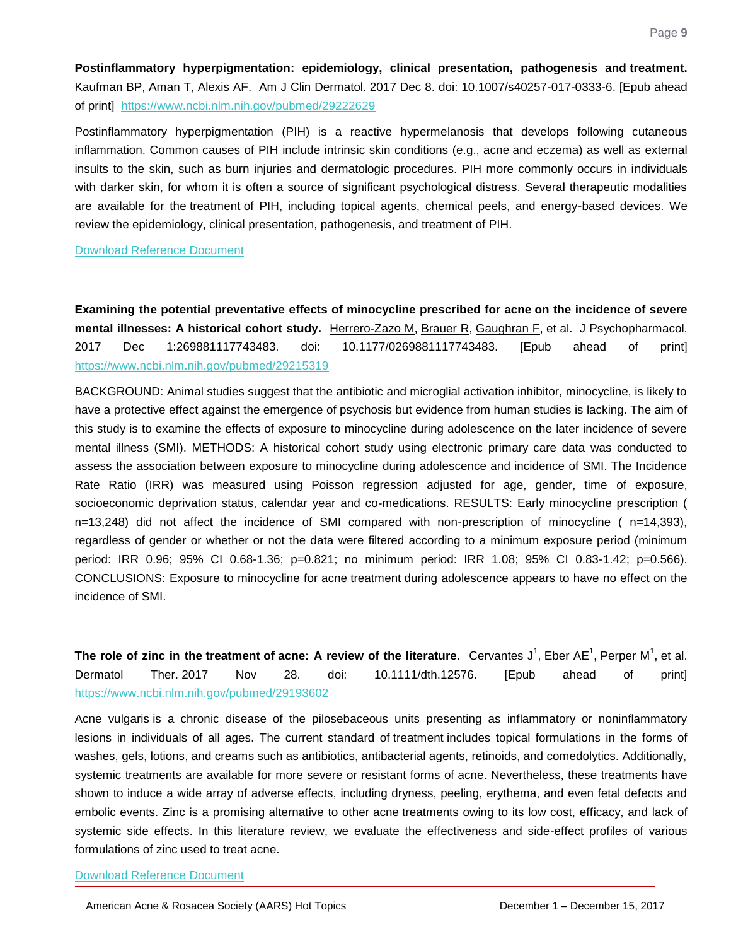<span id="page-9-0"></span>**Postinflammatory hyperpigmentation: epidemiology, clinical presentation, pathogenesis and treatment.** Kaufman BP, Aman T, Alexis AF. Am J Clin Dermatol. 2017 Dec 8. doi: 10.1007/s40257-017-0333-6. [Epub ahead of print] <https://www.ncbi.nlm.nih.gov/pubmed/29222629>

Postinflammatory hyperpigmentation (PIH) is a reactive hypermelanosis that develops following cutaneous inflammation. Common causes of PIH include intrinsic skin conditions (e.g., acne and eczema) as well as external insults to the skin, such as burn injuries and dermatologic procedures. PIH more commonly occurs in individuals with darker skin, for whom it is often a source of significant psychological distress. Several therapeutic modalities are available for the treatment of PIH, including topical agents, chemical peels, and energy-based devices. We review the epidemiology, clinical presentation, pathogenesis, and treatment of PIH.

#### [Download Reference Document](http://files.constantcontact.com/c2fa20d1101/3a375e09-b71d-4a2a-b3ea-01d0ea347b88.pdf?ver=1513355004000)

<span id="page-9-1"></span>**Examining the potential preventative effects of minocycline prescribed for acne on the incidence of severe mental illnesses: A historical cohort study.** Herrero-Zazo M, Brauer R, Gaughran F, et al. J Psychopharmacol. 2017 Dec 1:269881117743483. doi: 10.1177/0269881117743483. [Epub ahead of print] <https://www.ncbi.nlm.nih.gov/pubmed/29215319>

BACKGROUND: Animal studies suggest that the antibiotic and microglial activation inhibitor, minocycline, is likely to have a protective effect against the emergence of psychosis but evidence from human studies is lacking. The aim of this study is to examine the effects of exposure to minocycline during adolescence on the later incidence of severe mental illness (SMI). METHODS: A historical cohort study using electronic primary care data was conducted to assess the association between exposure to minocycline during adolescence and incidence of SMI. The Incidence Rate Ratio (IRR) was measured using Poisson regression adjusted for age, gender, time of exposure, socioeconomic deprivation status, calendar year and co-medications. RESULTS: Early minocycline prescription ( n=13,248) did not affect the incidence of SMI compared with non-prescription of minocycline ( n=14,393), regardless of gender or whether or not the data were filtered according to a minimum exposure period (minimum period: IRR 0.96; 95% CI 0.68-1.36; p=0.821; no minimum period: IRR 1.08; 95% CI 0.83-1.42; p=0.566). CONCLUSIONS: Exposure to minocycline for acne treatment during adolescence appears to have no effect on the incidence of SMI.

<span id="page-9-2"></span>The role of zinc in the treatment of acne: A review of the literature. Cervantes J<sup>1</sup>, Eber AE<sup>1</sup>, Perper M<sup>1</sup>, et al. Dermatol Ther. 2017 Nov 28. doi: 10.1111/dth.12576. [Epub ahead of print] <https://www.ncbi.nlm.nih.gov/pubmed/29193602>

Acne vulgaris is a chronic disease of the pilosebaceous units presenting as inflammatory or noninflammatory lesions in individuals of all ages. The current standard of treatment includes topical formulations in the forms of washes, gels, lotions, and creams such as antibiotics, antibacterial agents, retinoids, and comedolytics. Additionally, systemic treatments are available for more severe or resistant forms of acne. Nevertheless, these treatments have shown to induce a wide array of adverse effects, including dryness, peeling, erythema, and even fetal defects and embolic events. Zinc is a promising alternative to other acne treatments owing to its low cost, efficacy, and lack of systemic side effects. In this literature review, we evaluate the effectiveness and side-effect profiles of various formulations of zinc used to treat acne.

#### [Download Reference Document](http://files.constantcontact.com/c2fa20d1101/d4bb9e8a-56ce-4481-a5ad-13a8f2ba5765.pdf?ver=1513355004000)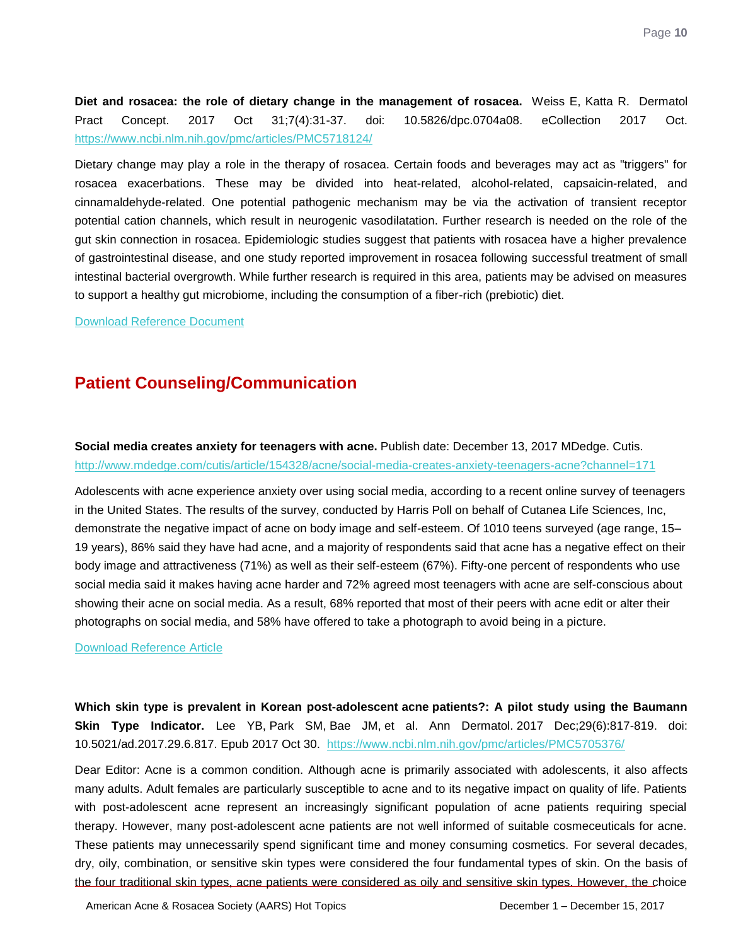<span id="page-10-0"></span>**Diet and rosacea: the role of dietary change in the management of rosacea.** Weiss E, Katta R. Dermatol Pract Concept. 2017 Oct 31;7(4):31-37. doi: 10.5826/dpc.0704a08. eCollection 2017 Oct. <https://www.ncbi.nlm.nih.gov/pmc/articles/PMC5718124/>

Dietary change may play a role in the therapy of rosacea. Certain foods and beverages may act as "triggers" for rosacea exacerbations. These may be divided into heat-related, alcohol-related, capsaicin-related, and cinnamaldehyde-related. One potential pathogenic mechanism may be via the activation of transient receptor potential cation channels, which result in neurogenic vasodilatation. Further research is needed on the role of the gut skin connection in rosacea. Epidemiologic studies suggest that patients with rosacea have a higher prevalence of gastrointestinal disease, and one study reported improvement in rosacea following successful treatment of small intestinal bacterial overgrowth. While further research is required in this area, patients may be advised on measures to support a healthy gut microbiome, including the consumption of a fiber-rich (prebiotic) diet.

[Download Reference Document](http://files.constantcontact.com/c2fa20d1101/84822aa5-95cd-42b8-8c49-623ccdec8283.pdf?ver=1513355004000)

## **Patient Counseling/Communication**

<span id="page-10-1"></span>**Social media creates anxiety for teenagers with acne.** Publish date: December 13, 2017 MDedge. Cutis. <http://www.mdedge.com/cutis/article/154328/acne/social-media-creates-anxiety-teenagers-acne?channel=171>

Adolescents with acne experience anxiety over using social media, according to a recent online survey of teenagers in the United States. The results of the survey, conducted by Harris Poll on behalf of Cutanea Life Sciences, Inc, demonstrate the negative impact of acne on body image and self-esteem. Of 1010 teens surveyed (age range, 15– 19 years), 86% said they have had acne, and a majority of respondents said that acne has a negative effect on their body image and attractiveness (71%) as well as their self-esteem (67%). Fifty-one percent of respondents who use social media said it makes having acne harder and 72% agreed most teenagers with acne are self-conscious about showing their acne on social media. As a result, 68% reported that most of their peers with acne edit or alter their photographs on social media, and 58% have offered to take a photograph to avoid being in a picture.

#### [Download Reference Article](http://files.constantcontact.com/c2fa20d1101/4cc12b94-d2e8-4ae7-a1aa-6c0801faafcc.pdf?ver=1513355004000)

<span id="page-10-2"></span>**Which skin type is prevalent in Korean post-adolescent acne patients?: A pilot study using the Baumann Skin Type Indicator.** Lee YB, Park SM, Bae JM, et al. Ann Dermatol. 2017 Dec;29(6):817-819. doi: 10.5021/ad.2017.29.6.817. Epub 2017 Oct 30. <https://www.ncbi.nlm.nih.gov/pmc/articles/PMC5705376/>

Dear Editor: Acne is a common condition. Although acne is primarily associated with adolescents, it also affects many adults. Adult females are particularly susceptible to acne and to its negative impact on quality of life. Patients with post-adolescent acne represent an increasingly significant population of acne patients requiring special therapy. However, many post-adolescent acne patients are not well informed of suitable cosmeceuticals for acne. These patients may unnecessarily spend significant time and money consuming cosmetics. For several decades, dry, oily, combination, or sensitive skin types were considered the four fundamental types of skin. On the basis of the four traditional skin types, acne patients were considered as oily and sensitive skin types. However, the choice